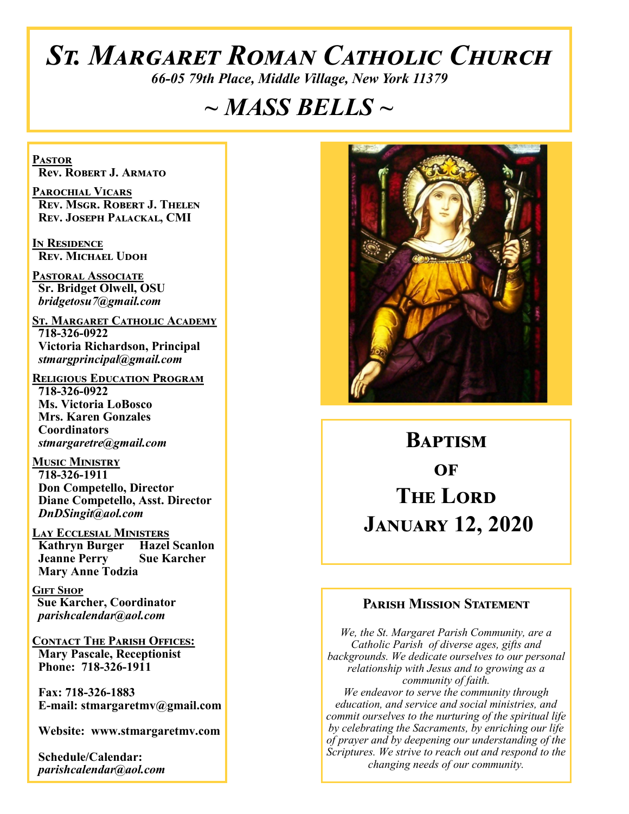# *St. Margaret Roman Catholic Church*

*66-05 79th Place, Middle Village, New York 11379*

# *~ MASS BELLS ~*

**Pastor Rev. Robert J. Armato**

**Parochial Vicars Rev. Msgr. Robert J. Thelen Rev. Joseph Palackal, CMI**

**In Residence Rev. Michael Udoh**

**Pastoral Associate Sr. Bridget Olwell, OSU**  *bridgetosu7@gmail.com*

**St. Margaret Catholic Academy 718-326-0922 Victoria Richardson, Principal**  *stmargprincipal@gmail.com*

**Religious Education Program 718-326-0922 Ms. Victoria LoBosco Mrs. Karen Gonzales Coordinators** *stmargaretre@gmail.com*

**Music Ministry 718-326-1911 Don Competello, Director Diane Competello, Asst. Director** *DnDSingit@aol.com*

**Lay Ecclesial Ministers Kathryn Burger Hazel Scanlon Jeanne Perry Sue Karcher Mary Anne Todzia**

**Gift Shop Sue Karcher, Coordinator** *parishcalendar@aol.com*

**Contact The Parish Offices: Mary Pascale, Receptionist Phone: 718-326-1911** 

 **Fax: 718-326-1883 E-mail: stmargaretmv@gmail.com**

 **Website: www.stmargaretmv.com**

 **Schedule/Calendar:** *parishcalendar@aol.com* 



# **Baptism**   $\Omega$ **F The Lord January 12, 2020**

#### **Parish Mission Statement**

*We, the St. Margaret Parish Community, are a Catholic Parish of diverse ages, gifts and backgrounds. We dedicate ourselves to our personal relationship with Jesus and to growing as a community of faith. We endeavor to serve the community through education, and service and social ministries, and commit ourselves to the nurturing of the spiritual life by celebrating the Sacraments, by enriching our life of prayer and by deepening our understanding of the Scriptures. We strive to reach out and respond to the changing needs of our community.*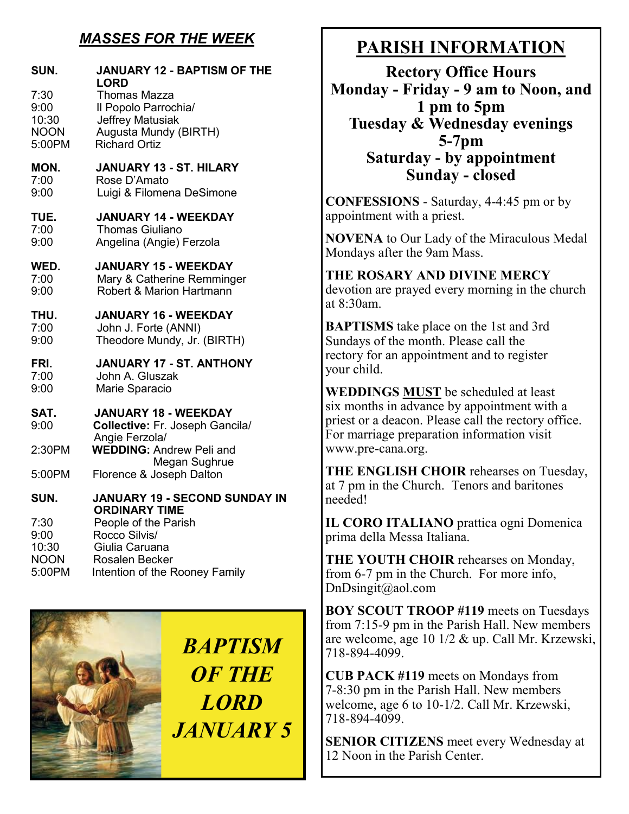## *MASSES FOR THE WEEK*

| SUN.<br>7:30<br>9:00<br>10:30<br><b>NOON</b><br>5:00PM | <b>JANUARY 12 - BAPTISM OF THE</b><br>LORD<br><b>Thomas Mazza</b><br>Il Popolo Parrochia/<br><b>Jeffrey Matusiak</b><br>Augusta Mundy (BIRTH)<br><b>Richard Ortiz</b>       |
|--------------------------------------------------------|-----------------------------------------------------------------------------------------------------------------------------------------------------------------------------|
| MON.                                                   | <b>JANUARY 13 - ST. HILARY</b>                                                                                                                                              |
| 7:00                                                   | Rose D'Amato                                                                                                                                                                |
| 9:00                                                   | Luigi & Filomena DeSimone                                                                                                                                                   |
| TUE.                                                   | <b>JANUARY 14 - WEEKDAY</b>                                                                                                                                                 |
| 7:00                                                   | <b>Thomas Giuliano</b>                                                                                                                                                      |
| 9:00                                                   | Angelina (Angie) Ferzola                                                                                                                                                    |
| WED.                                                   | <b>JANUARY 15 - WEEKDAY</b>                                                                                                                                                 |
| 7:00                                                   | Mary & Catherine Remminger                                                                                                                                                  |
| 9:00                                                   | Robert & Marion Hartmann                                                                                                                                                    |
| THU.                                                   | <b>JANUARY 16 - WEEKDAY</b>                                                                                                                                                 |
| 7:00                                                   | John J. Forte (ANNI)                                                                                                                                                        |
| 9:00                                                   | Theodore Mundy, Jr. (BIRTH)                                                                                                                                                 |
| FRI.                                                   | <b>JANUARY 17 - ST. ANTHONY</b>                                                                                                                                             |
| 7:00                                                   | John A. Gluszak                                                                                                                                                             |
| 9:00                                                   | Marie Sparacio                                                                                                                                                              |
| SAT.                                                   | <b>JANUARY 18 - WEEKDAY</b>                                                                                                                                                 |
| 9:00                                                   | Collective: Fr. Joseph Gancila/                                                                                                                                             |
| 2:30PM                                                 | Angie Ferzola/<br><b>WEDDING: Andrew Peli and</b><br>Megan Sughrue                                                                                                          |
| 5:00PM                                                 | Florence & Joseph Dalton                                                                                                                                                    |
| SUN.<br>7:30<br>9:00<br>10:30<br><b>NOON</b><br>5:00PM | JANUARY 19 - SECOND SUNDAY IN<br><b>ORDINARY TIME</b><br>People of the Parish<br>Rocco Silvis/<br>Giulia Caruana<br><b>Rosalen Becker</b><br>Intention of the Rooney Family |



# **PARISH INFORMATION**

**Rectory Office Hours Monday - Friday - 9 am to Noon, and 1 pm to 5pm Tuesday & Wednesday evenings 5-7pm Saturday - by appointment Sunday - closed**

**CONFESSIONS** - Saturday, 4-4:45 pm or by appointment with a priest.

**NOVENA** to Our Lady of the Miraculous Medal Mondays after the 9am Mass.

**THE ROSARY AND DIVINE MERCY** devotion are prayed every morning in the church at 8:30am.

**BAPTISMS** take place on the 1st and 3rd Sundays of the month. Please call the rectory for an appointment and to register your child.

**WEDDINGS MUST** be scheduled at least six months in advance by appointment with a priest or a deacon. Please call the rectory office. For marriage preparation information visit www.pre-cana.org.

**THE ENGLISH CHOIR** rehearses on Tuesday, at 7 pm in the Church. Tenors and baritones needed!

**IL CORO ITALIANO** prattica ogni Domenica prima della Messa Italiana.

**THE YOUTH CHOIR** rehearses on Monday, from 6-7 pm in the Church. For more info, DnDsingit@aol.com

**BOY SCOUT TROOP #119** meets on Tuesdays from 7:15-9 pm in the Parish Hall. New members are welcome, age 10 1/2 & up. Call Mr. Krzewski, 718-894-4099.

**CUB PACK #119** meets on Mondays from 7-8:30 pm in the Parish Hall. New members welcome, age 6 to 10-1/2. Call Mr. Krzewski, 718-894-4099.

**SENIOR CITIZENS** meet every Wednesday at 12 Noon in the Parish Center.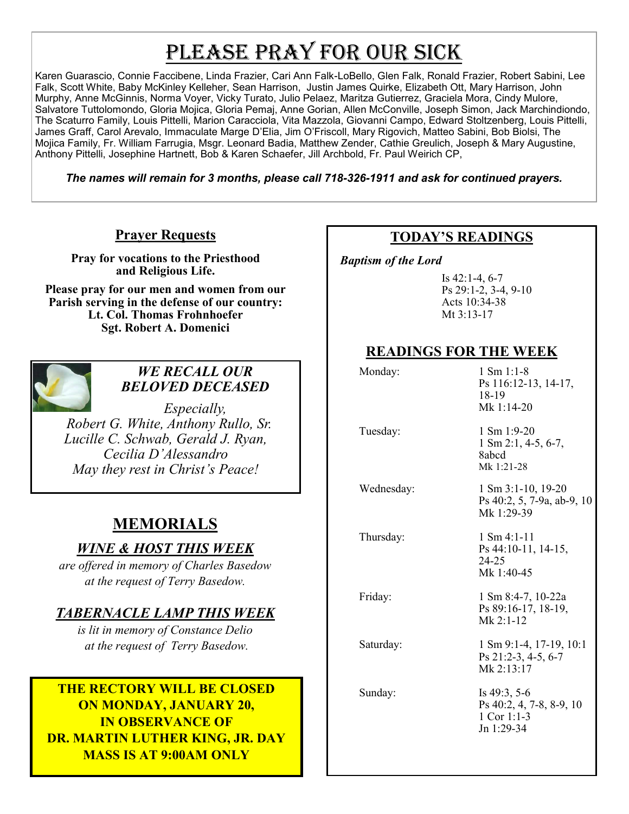# PLEASE PRAY FOR OUR SICK

Karen Guarascio, Connie Faccibene, Linda Frazier, Cari Ann Falk-LoBello, Glen Falk, Ronald Frazier, Robert Sabini, Lee Falk, Scott White, Baby McKinley Kelleher, Sean Harrison, Justin James Quirke, Elizabeth Ott, Mary Harrison, John Murphy, Anne McGinnis, Norma Voyer, Vicky Turato, Julio Pelaez, Maritza Gutierrez, Graciela Mora, Cindy Mulore, Salvatore Tuttolomondo, Gloria Mojica, Gloria Pemaj, Anne Gorian, Allen McConville, Joseph Simon, Jack Marchindiondo, The Scaturro Family, Louis Pittelli, Marion Caracciola, Vita Mazzola, Giovanni Campo, Edward Stoltzenberg, Louis Pittelli, James Graff, Carol Arevalo, Immaculate Marge D'Elia, Jim O'Friscoll, Mary Rigovich, Matteo Sabini, Bob Biolsi, The Mojica Family, Fr. William Farrugia, Msgr. Leonard Badia, Matthew Zender, Cathie Greulich, Joseph & Mary Augustine, Anthony Pittelli, Josephine Hartnett, Bob & Karen Schaefer, Jill Archbold, Fr. Paul Weirich CP,

*The names will remain for 3 months, please call 718-326-1911 and ask for continued prayers.*

#### **Prayer Requests**

**Pray for vocations to the Priesthood and Religious Life.** 

**Please pray for our men and women from our Parish serving in the defense of our country: Lt. Col. Thomas Frohnhoefer Sgt. Robert A. Domenici** 



#### *WE RECALL OUR BELOVED DECEASED*

*Especially, Robert G. White, Anthony Rullo, Sr. Lucille C. Schwab, Gerald J. Ryan, Cecilia D'Alessandro May they rest in Christ's Peace!*

## **MEMORIALS**

#### *WINE & HOST THIS WEEK*

*are offered in memory of Charles Basedow at the request of Terry Basedow.*

#### *TABERNACLE LAMP THIS WEEK*

*is lit in memory of Constance Delio at the request of Terry Basedow.* 

#### **THE RECTORY WILL BE CLOSED ON MONDAY, JANUARY 20, IN OBSERVANCE OF DR. MARTIN LUTHER KING, JR. DAY MASS IS AT 9:00AM ONLY**

#### **TODAY'S READINGS**

 *Baptism of the Lord* 

Is 42:1-4, 6-7 Ps 29:1-2, 3-4, 9-10 Acts 10:34-38 Mt 3:13-17

#### **READINGS FOR THE WEEK**

Monday: 1 Sm 1:1-8 Ps 116:12-13, 14-17, 18-19 Mk 1:14-20 Tuesday: 1 Sm 1:9-20 1 Sm 2:1, 4-5, 6-7, 8abcd Mk 1:21-28 Wednesday: 1 Sm 3:1-10, 19-20 Ps 40:2, 5, 7-9a, ab-9, 10 Mk 1:29-39 Thursday: 1 Sm 4:1-11 Ps 44:10-11, 14-15, 24-25 Mk 1:40-45 Friday: 1 Sm 8:4-7, 10-22a Ps 89:16-17, 18-19, Mk 2:1-12 Saturday: 1 Sm 9:1-4, 17-19, 10:1 Ps 21:2-3, 4-5, 6-7 Mk 2:13:17 Sunday: Is 49:3, 5-6 Ps 40:2, 4, 7-8, 8-9, 10 1 Cor 1:1-3 Jn 1:29-34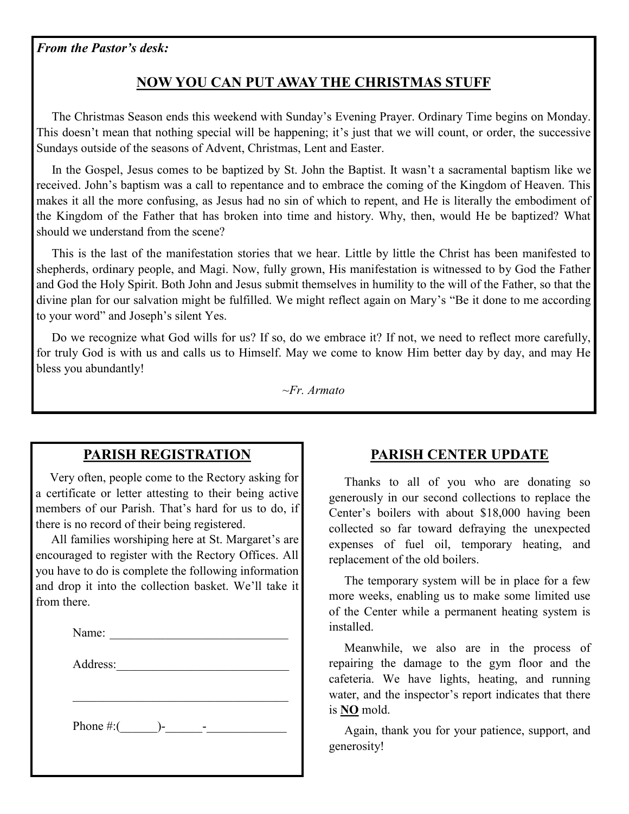### **NOW YOU CAN PUT AWAY THE CHRISTMAS STUFF**

 The Christmas Season ends this weekend with Sunday's Evening Prayer. Ordinary Time begins on Monday. This doesn't mean that nothing special will be happening; it's just that we will count, or order, the successive Sundays outside of the seasons of Advent, Christmas, Lent and Easter.

 In the Gospel, Jesus comes to be baptized by St. John the Baptist. It wasn't a sacramental baptism like we received. John's baptism was a call to repentance and to embrace the coming of the Kingdom of Heaven. This makes it all the more confusing, as Jesus had no sin of which to repent, and He is literally the embodiment of the Kingdom of the Father that has broken into time and history. Why, then, would He be baptized? What should we understand from the scene?

 This is the last of the manifestation stories that we hear. Little by little the Christ has been manifested to shepherds, ordinary people, and Magi. Now, fully grown, His manifestation is witnessed to by God the Father and God the Holy Spirit. Both John and Jesus submit themselves in humility to the will of the Father, so that the divine plan for our salvation might be fulfilled. We might reflect again on Mary's "Be it done to me according to your word" and Joseph's silent Yes.

 Do we recognize what God wills for us? If so, do we embrace it? If not, we need to reflect more carefully, for truly God is with us and calls us to Himself. May we come to know Him better day by day, and may He bless you abundantly!

*~Fr. Armato*

#### **PARISH REGISTRATION**

 Very often, people come to the Rectory asking for a certificate or letter attesting to their being active members of our Parish. That's hard for us to do, if there is no record of their being registered.

 All families worshiping here at St. Margaret's are encouraged to register with the Rectory Offices. All you have to do is complete the following information and drop it into the collection basket. We'll take it from there.

Address:

Phone  $\#$ :(  $\qquad$ )- -

#### **PARISH CENTER UPDATE**

 Thanks to all of you who are donating so generously in our second collections to replace the Center's boilers with about \$18,000 having been collected so far toward defraying the unexpected expenses of fuel oil, temporary heating, and replacement of the old boilers.

 The temporary system will be in place for a few more weeks, enabling us to make some limited use of the Center while a permanent heating system is installed.

 Meanwhile, we also are in the process of repairing the damage to the gym floor and the cafeteria. We have lights, heating, and running water, and the inspector's report indicates that there is **NO** mold.

 Again, thank you for your patience, support, and generosity!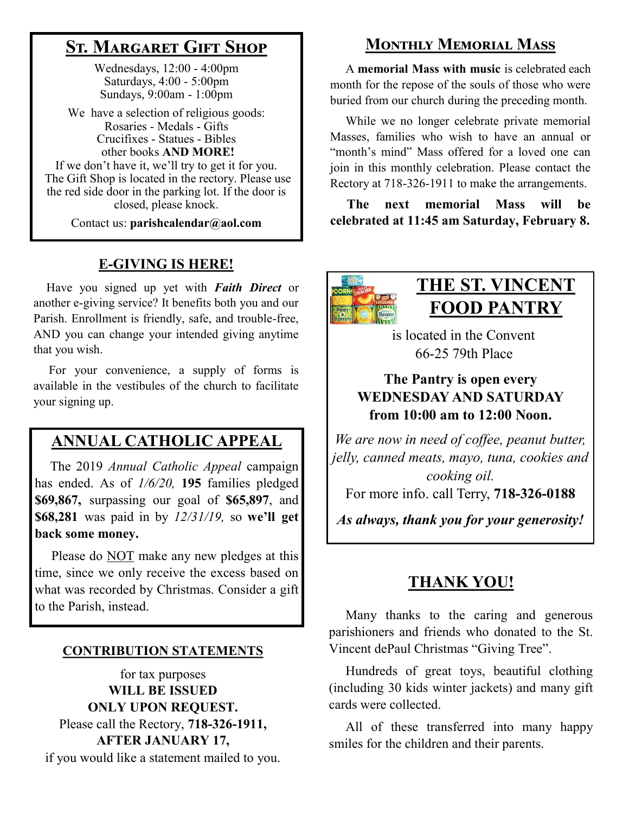# **St. Margaret Gift Shop**

Wednesdays, 12:00 - 4:00pm Saturdays, 4:00 - 5:00pm Sundays, 9:00am - 1:00pm

We have a selection of religious goods: Rosaries - Medals - Gifts Crucifixes - Statues - Bibles other books **AND MORE!** If we don't have it, we'll try to get it for you.

The Gift Shop is located in the rectory. Please use the red side door in the parking lot. If the door is closed, please knock.

Contact us: **parishcalendar@aol.com**

### **E-GIVING IS HERE!**

 Have you signed up yet with *Faith Direct* or another e-giving service? It benefits both you and our Parish. Enrollment is friendly, safe, and trouble-free, AND you can change your intended giving anytime that you wish.

 For your convenience, a supply of forms is available in the vestibules of the church to facilitate your signing up.

# **ANNUAL CATHOLIC APPEAL**

 The 2019 *Annual Catholic Appeal* campaign has ended. As of *1/6/20,* **195** families pledged **\$69,867,** surpassing our goal of **\$65,897**, and **\$68,281** was paid in by *12/31/19,* so **we'll get back some money.**

 Please do NOT make any new pledges at this time, since we only receive the excess based on what was recorded by Christmas. Consider a gift to the Parish, instead.

#### **CONTRIBUTION STATEMENTS**

for tax purposes **WILL BE ISSUED ONLY UPON REQUEST.** Please call the Rectory, **718-326-1911, AFTER JANUARY 17,** if you would like a statement mailed to you.

# **Monthly Memorial Mass**

 A **memorial Mass with music** is celebrated each month for the repose of the souls of those who were buried from our church during the preceding month.

 While we no longer celebrate private memorial Masses, families who wish to have an annual or "month's mind" Mass offered for a loved one can join in this monthly celebration. Please contact the Rectory at 718-326-1911 to make the arrangements.

 **The next memorial Mass will be celebrated at 11:45 am Saturday, February 8.** 



# **THE ST. VINCENT FOOD PANTRY**

 is located in the Convent 66-25 79th Place

#### **The Pantry is open every WEDNESDAY AND SATURDAY from 10:00 am to 12:00 Noon.**

*We are now in need of coffee, peanut butter, jelly, canned meats, mayo, tuna, cookies and cooking oil.*

For more info. call Terry, **718-326-0188**

*As always, thank you for your generosity!*

# **THANK YOU!**

 Many thanks to the caring and generous parishioners and friends who donated to the St. Vincent dePaul Christmas "Giving Tree".

 Hundreds of great toys, beautiful clothing (including 30 kids winter jackets) and many gift cards were collected.

 All of these transferred into many happy smiles for the children and their parents.